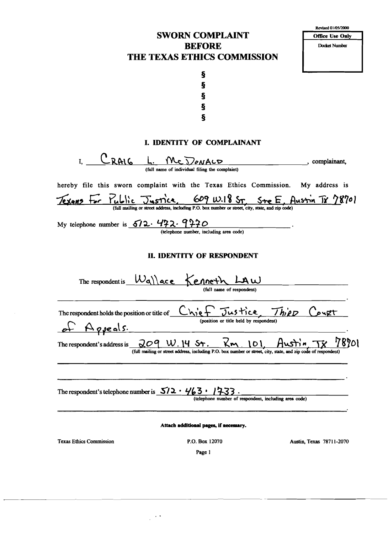## SWORN COMPLAINT BEFORE THE TEXAS ETHICS COMMISSION

| Revised 01/05/2000 |                        |  |  |
|--------------------|------------------------|--|--|
|                    | <b>Office Use Only</b> |  |  |
|                    | Docket Number          |  |  |
|                    |                        |  |  |
|                    |                        |  |  |
|                    |                        |  |  |



#### I. IDENTITY OF COMPLAINANT

 $I, \underline{\hspace{1cm}} \underline{\hspace{1cm}} \underline{\hspace{1cm}} \underline{\hspace{1cm}} \underline{\hspace{1cm}} \underline{\hspace{1cm}} \underline{\hspace{1cm}} \underline{\hspace{1cm}} \underline{\hspace{1cm}} \underline{\hspace{1cm}} \underline{\hspace{1cm}} \underline{\hspace{1cm}} \underline{\hspace{1cm}} \underline{\hspace{1cm}} \underline{\hspace{1cm}} \underline{\hspace{1cm}} \underline{\hspace{1cm}} \underline{\hspace{1cm}} \underline{\hspace{1cm}} \underline{\hspace{1cm}} \underline{\hspace{1cm}} \underline{\hspace{1cm}} \underline{\hspace{1cm}} \underline{\hspace{1cm}} \underline$ (full name of individual filing the complaint) hereby file this sworn complaint with the Texas Ethics Commission. My address is Texans for Yublic Justice, 609 W.I St, Ste E. Austin Tr 78701 My telephone number is  $612 \cdot 472 \cdot 9220$ (telephone number, including area code) II. IDENTITY OF RESPONDENT The respondent is  $W$ <sup>\</sup>\ace kenneth LAW The respondent holds the position or title of Chief Justice, Thiep Court respondent) (position or title held by respondent) b"\- A *fie.* Q\ \$'. The respondent's address is  $\frac{209}{\text{ (full mating or street address, including P.O. box number or street, city, state, and zip code of respondent)}$ The respondent's telephone number is  $\frac{5}{2} \cdot \frac{463 \cdot 1733}{4}$ .<br>(telephone number of respondent, including area code) Attach additional pages, if necessary. Texas Ethics Commission P,O. Box 12070 Austin, Texas 78711-2070 Page I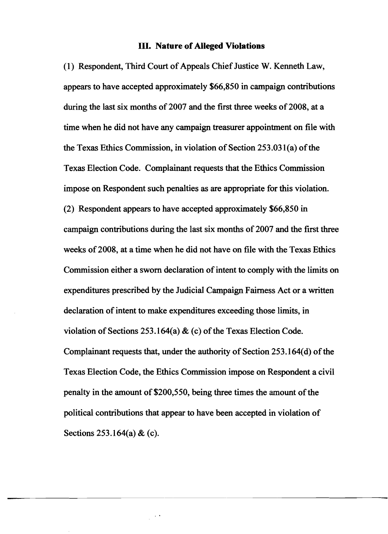#### **ill. Nature of Alleged Violations**

(1) Respondent, Third Court of Appeals Chief Justice W. Kenneth Law, appears to have accepted approximately \$66,850 in campaign contributions during the last six months of 2007 and the first three weeks of 2008, at a time when he did not have any campaign treasurer appointment on file with the Texas Ethics Commission, in violation of Section  $253.031(a)$  of the Texas Election Code. Complainant requests that the Ethics Commission impose on Respondent such penalties as are appropriate for this violation. (2) Respondent appears to have accepted approximately \$66,850 in campaign contributions during the last six months of 2007 and the first three weeks of 2008, at a time when he did not have on file with the Texas Ethics Commission either a sworn declaration of intent to comply with the limits on expenditures prescribed by the Judicial Campaign Fairness Act or a written declaration of intent to make expenditures exceeding those limits, in violation of Sections 253.164(a)  $\&$  (c) of the Texas Election Code. Complainant requests that, under the authority of Section 253.164(d) of the Texas Election Code, the Ethics Commission impose on Respondent a civil penalty in the amount of \$200,550, being three times the amount of the political contributions that appear to have been accepted in violation of Sections 253.164(a) & (c).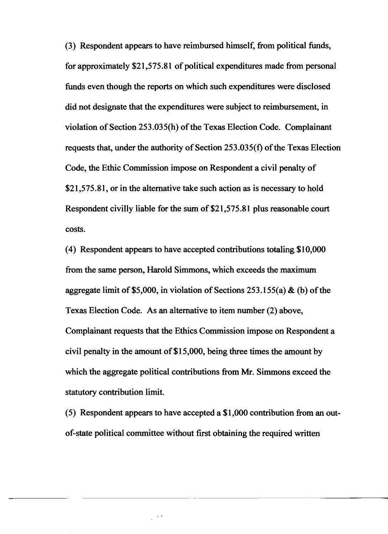(3) Respondent appears to have reimbursed himself, from political funds, for approximately  $$21,575.81$  of political expenditures made from personal funds even though the reports on which such expenditures were disclosed did not designate that the expenditures were subject to reimbursement, in violation of Section 253.035(h) of the Texas Election Code. Complainant requests that, under the authority of Section  $253.035(f)$  of the Texas Election Code, the Ethic Commission impose on Respondent a civil penalty of \$21,575.81, or in the alternative take such action as is necessary to hold Respondent civilly liable for the sum of \$21,575.81 plus reasonable court costs.

(4) Respondent appears to have accepted contributions totaling \$10,000 from the same person, Harold Simmons, which exceeds the maximum aggregate limit of \$5,000, in violation of Sections 253.155(a)  $\&$  (b) of the Texas Election Code. As an alternative to item number (2) above, Complainant requests that the Ethics Commission impose on Respondent a civil penalty in the amount of \$15,000, being three times the amount by which the aggregate political contributions from Mr. Simmons exceed the statutory contribution limit.

(5) Respondent appears to have accepted a \$1,000 contribution from an outof-state political committee without first obtaining the required written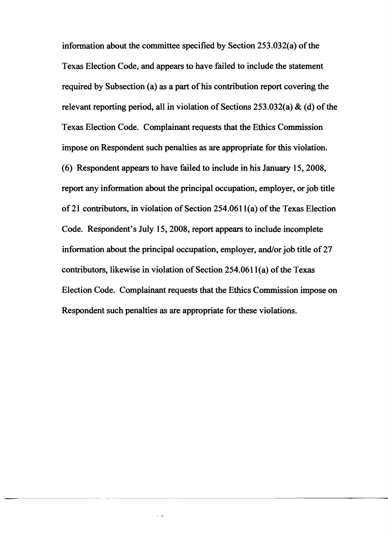information about the committee specified by Section  $253.032(a)$  of the Texas Election Code, and appears to have failed to include the statement required by Subsection (a) as a part of his contribution report covering the relevant reporting period, all in violation of Sections 253.032(a)  $\&$  (d) of the Texas Election Code. Complainant requests that the Ethics Commission impose on Respondent such penalties as are appropriate for this violation. (6) Respondent appears to have failed to include in his January 15,2008, report any information about the principal occupation, employer, or job title of 21 contributors, in violation of Section  $254.0611(a)$  of the Texas Election Code. Respondent's July 15,2008, report appears to include incomplete information about the principal occupation, employer, and/or job title of 27 contributors, likewise in violation of Section  $254.0611(a)$  of the Texas Election Code. Complainant requests that the Ethics Commission impose on Respondent such penalties as are appropriate for these violations.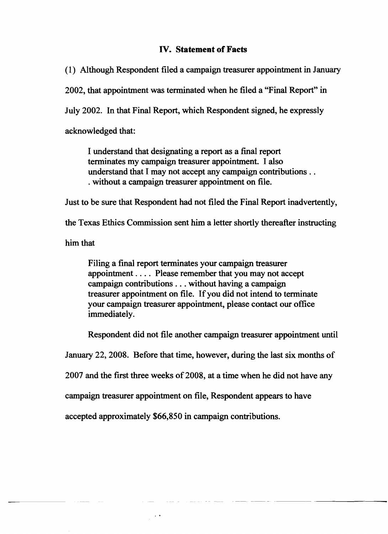## IV. Statement of Facts

(1) Although Respondent filed a campaign treasurer appointment in January

2002, that appointment was terminated when he filed a "Final Report" in

July 2002. In that Final Report, which Respondent signed, he expressly

acknowledged that:

I understand that designating a report as a final report terminates my campaign treasurer appointment. I also understand that I may not accept any campaign contributions .. . without a campaign treasurer appointment on file.

Just to be sure that Respondent had not filed the Final Report inadvertently,

the Texas Ethics Commission sent him a letter shortly thereafter instructing

him that

Filing a final report terminates your campaign treasurer appointment. . .. Please remember that you may not accept campaign contributions ... without having a campaign treasurer appointment on file. If you did not intend to terminate your campaign treasurer appointment, please contact our office immediately.

Respondent did not file another campaign treasurer appointment until

January 22,2008. Before that time, however, during the last six months of

2007 and the first three weeks of 2008, at a time when he did not have any

campaign treasurer appointment on file, Respondent appears to have

accepted approximately \$66,850 in campaign contributions.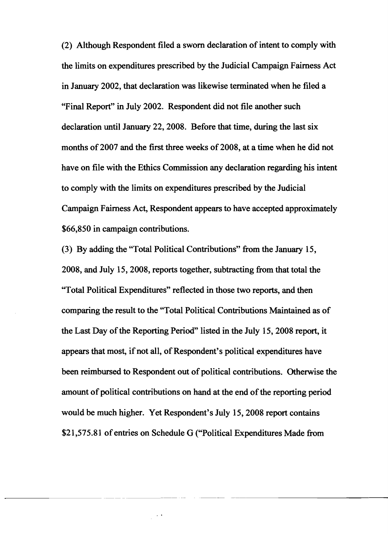(2) Although Respondent filed a sworn declaration of intent to comply with the limits on expenditures prescribed by the Judicial Campaign Fairness Act in January 2002, that declaration was likewise terminated when he filed a "Final Report" in July 2002. Respondent did not file another such declaration until January 22, 2008. Before that time, during the last six months of 2007 and the first three weeks of 2008, at a time when he did not have on file with the Ethics Commission any declaration regarding his intent to comply with the limits on expenditures prescribed by the Judicial Campaign Fairness Act, Respondent appears to have accepted approximately \$66,850 in campaign contributions.

(3) By adding the "Total Political Contributions" from the January 15, 2008, and July 15,2008, reports together, subtracting from that total the "Total Political Expenditures" reflected in those two reports, and then comparing the result to the "Total Political Contributions Maintained as of the Last Day of the Reporting Period" listed in the July 15, 2008 report, it appears that most, if not all, of Respondent's political expenditures have been reimbursed to Respondent out of political contributions. Otherwise the amount of political contributions on hand at the end of the reporting period would be much higher. Yet Respondent's July 15,2008 report contains \$21,575.81 of entries on Schedule G {"Political Expenditures Made from

-----------------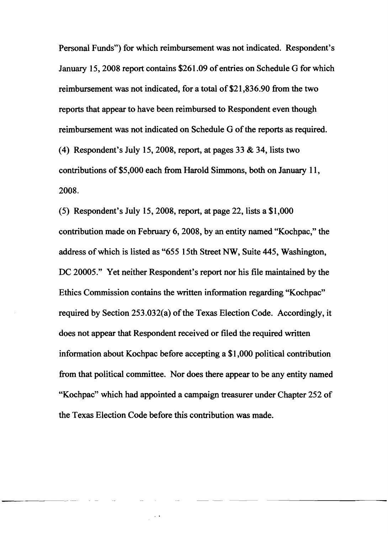Personal Funds") for which reimbursement was not indicated. Respondent's January 15, 2008 report contains \$261.09 of entries on Schedule G for which reimbursement was not indicated, for a total of \$21,836.90 from the two reports that appear to have been reimbursed to Respondent even though reimbursement was not indicated on Schedule G of the reports as required. (4) Respondent's July 15, 2008, report, at pages 33  $&$  34, lists two contributions of \$5,000 each from Harold Simmons, both on January 11, 2008.

(5) Respondent's July 15,2008, report, at page 22, lists a \$1,000 contribution made on February 6, 2008, by an entity named "Kochpac," the address of which is listed as "655 15th Street NW, Suite 445, Washington, DC 20005." Yet neither Respondent's report nor his file maintained by the Ethics Commission contains the written information regarding "Kochpac" required by Section  $253.032(a)$  of the Texas Election Code. Accordingly, it does not appear that Respondent received or filed the required written information about Kochpac before accepting a \$1,000 political contribution from that political committee. Nor does there appear to be any entity named "Kochpac" which had appointed a campaign treasurer under Chapter 252 of the Texas Election Code before this contribution was made.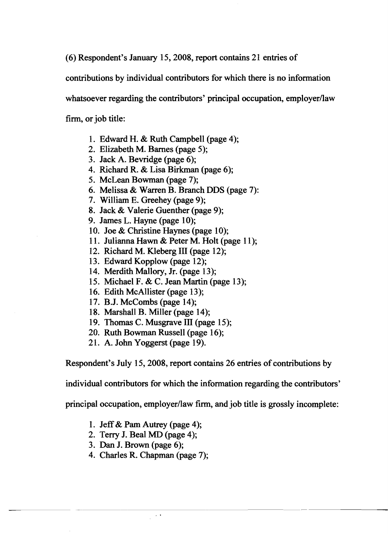(6) Respondent's January 15,2008, report contains 21 entries of

contributions by individual contributors for which there is no information

whatsoever regarding the contributors' principal occupation, employer/law

firm, or job title:

- 1. Edward H. & Ruth Campbell (page 4);
- 2. Elizabeth M. Barnes (page 5);
- 3. Jack A. Bevridge (page 6);
- 4. Richard R. & Lisa Birkman (page 6);
- 5. McLean Bowman (page 7);
- 6. Melissa & Warren B. Branch DDS (page 7):
- 7. William E. Greehey (page 9);
- 8. Jack & Valerie Guenther (page 9);
- 9. James L. Hayne (page 10);
- 10. Joe & Christine Haynes (page 10);
- 11. Julianna Hawn & Peter M. Holt (page 11);
- 12. Richard M. Kleberg III (page 12);
- 13. Edward Kopplow (page 12);
- 14. Merdith Mallory, Jr. (page 13);
- 15. Michael F. & C. Jean Martin (page 13);
- 16. Edith McAllister (page 13);
- 17. B.J. McCombs (page 14);
- 18. Marshall B. Miller (page 14);
- 19. Thomas C. Musgrave III (page 15);
- 20. Ruth Bowman Russell (page 16);
- 21. A. John Yoggerst (page 19).

Respondent's July 15,2008, report contains 26 entries of contributions by

individual contributors for which the information regarding the contributors'

principal occupation, employer/law firm, and job title is grossly incomplete:

- 1. Jeff& Pam Autrey (page 4);
- 2. Terry J. Beal MD (page 4);
- 3. Dan J. Brown (page 6);
- 4. Charles R. Chapman (page 7);

 $\sim 10^{-1}$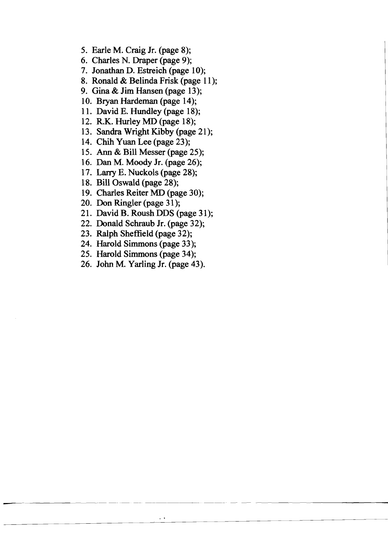- 5. Earle M. Craig Jr. (page 8);
- 6. Charles N. Draper (page 9);
- 7. Jonathan D. Estreich (page 10);
- 8. Ronald & Belinda Frisk (page 11);
- 9. Gina & Jim Hansen (page 13);
- 10. Bryan Hardeman (page 14);
- 11. David E. Hundley (page 18);
- 12. R.K. Hurley MD (page 18);
- 13. Sandra Wright Kibby (page 21);
- 14. Chih Yuan Lee (page 23);
- 15. Ann & Bill Messer (page 25);
- 16. Dan M. Moody Jr. (page 26);
- 17. Larry E. Nuckols (page 28);
- 18. Bill Oswald (page 28);
- 19. Charles Reiter MD (page 30);
- 20. Don Ringler (page 31);
- 21. David B. Roush DDS (page 31);
- 22. Donald Schraub Jr. (page 32);
- 23. Ralph Sheffield (page 32);
- 24. Harold Simmons (page 33);
- 25. Harold Simmons (page 34);
- 26. John M. Yarling Jr. (page 43).

 $\ddot{\phantom{0}}$ 

---- -- ------~------ - -----------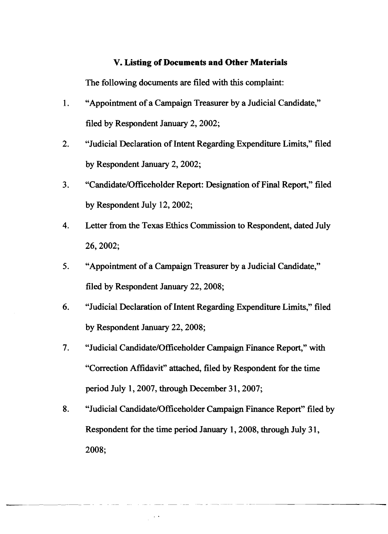## **V. Listing of Documents and Other Materials**

The following documents are filed with this complaint:

- 1. "Appointment of a Campaign Treasurer by a Judicial Candidate," filed by Respondent January 2, 2002;
- 2. "Judicial Declaration of Intent Regarding Expenditure Limits," filed by Respondent January 2, 2002;
- 3. "Candidate/Officeholder Report: Designation of Final Report," filed by Respondent July 12,2002;
- 4. Letter from the Texas Ethics Commission to Respondent, dated July 26,2002;
- 5. "Appointment of a Campaign Treasurer by a Judicial Candidate," filed by Respondent January 22, 2008;
- 6. "Judicial Declaration of Intent Regarding Expenditure Limits," filed by Respondent January 22, 2008;
- 7. "Judicial Candidate/Officeholder Campaign Finance Report," with "Correction Affidavit" attached, filed by Respondent for the time period July 1, 2007, through December 31, 2007;
- 8. "Judicial Candidate/Officeholder Campaign Finance Report" filed by Respondent for the time period January 1,2008, through July 31, 2008;

 $\sim$   $\sim$ 

----------- - -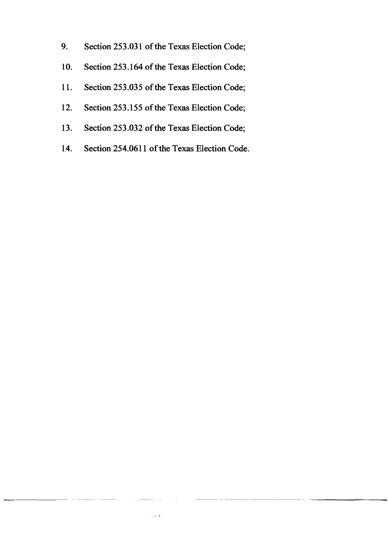- 9. Section 253.031 of the Texas Election Code;
- 10. Section 253.164 of the Texas Election Code;
- 11. Section 253.035 of the Texas Election Code;
- 12. Section 253.155 of the Texas Election Code;
- 13. Section 253.032 of the Texas Election Code;
- 14. Section 254.0611 of the Texas Election Code.

-~~~~- - ------ ------- ----------~-